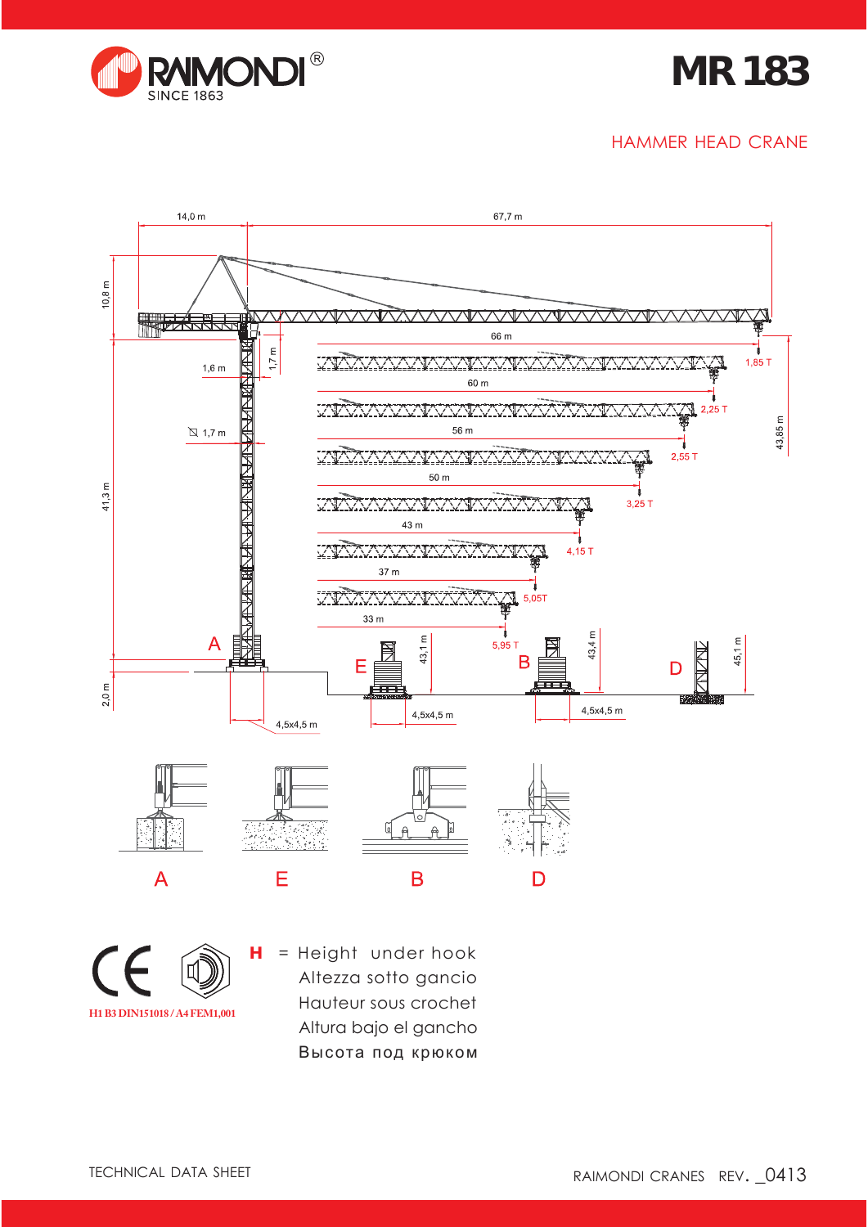

## **MR 183**

#### HAMMER HEAD CRANE



**H1 B3 DIN151018 / A4 FEM1,001**

**H** = Height under hook Altezza sotto gancio Hauteur sous crochet Altura bajo el gancho Высота под крюком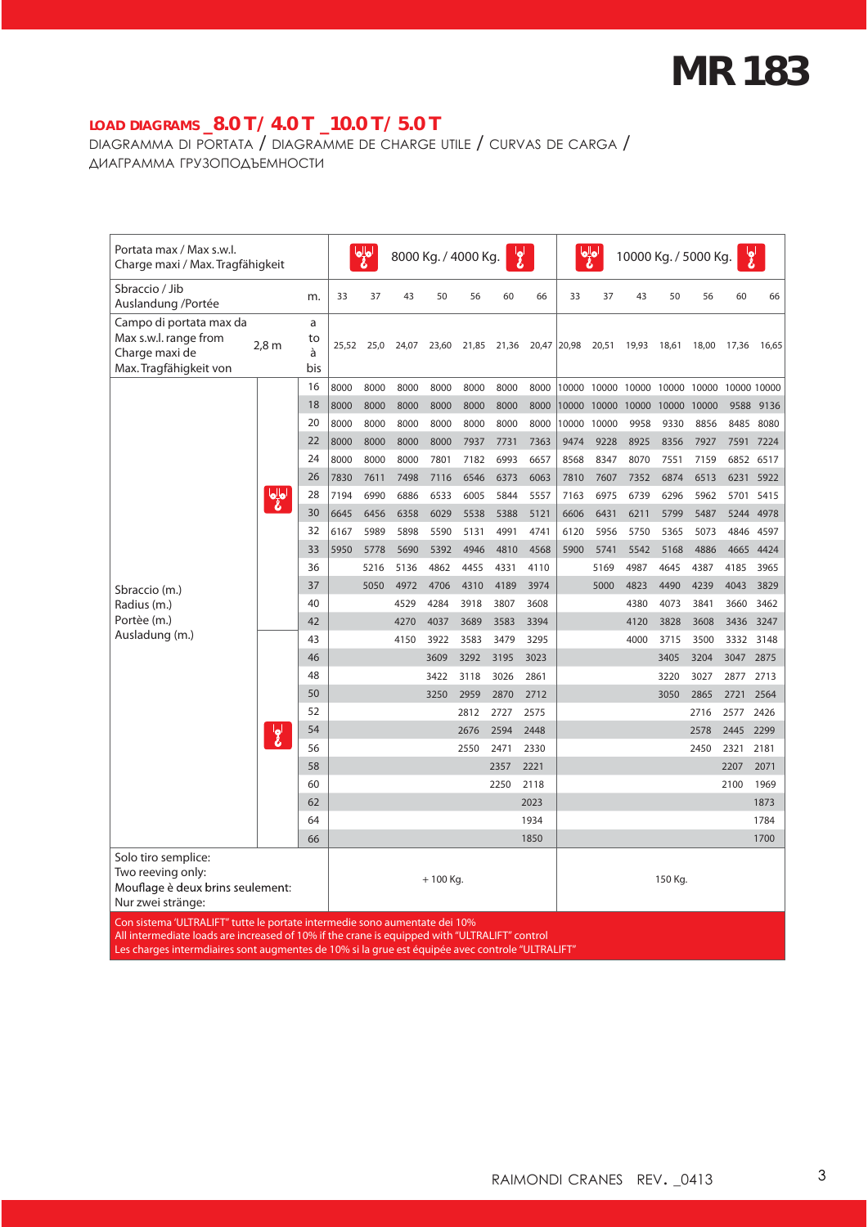# **MR 183**

### **LOAD DIAGRAMS \_8.0 T / 4.0 T \_10.0 T / 5.0 T**

DIAGRAMMA DI PORTATA / DIAGRAMME DE CHARGE UTILE / CURVAS DE CARGA / ДИАГРАММА ГРУЗОПОДЪЕМНОСТИ

| Portata max / Max s.w.l.<br>Charge maxi / Max. Tragfähigkeit                                      |                  |                     |       | $\bullet^{\parallel}_{\mathbf{S}}$ o<br>ا <b>و</b> ا<br>8000 Kg. / 4000 Kg. |       |            |       |       |      |             | $\frac{1}{2}$<br>$\overline{\mathbf{S}}$<br>10000 Kg. / 5000 Kg. |       |                         |       |                   |           |
|---------------------------------------------------------------------------------------------------|------------------|---------------------|-------|-----------------------------------------------------------------------------|-------|------------|-------|-------|------|-------------|------------------------------------------------------------------|-------|-------------------------|-------|-------------------|-----------|
| Sbraccio / Jib<br>Auslandung /Portée                                                              |                  | m.                  | 33    | 37                                                                          | 43    | 50         | 56    | 60    | 66   | 33          | 37                                                               | 43    | 50                      | 56    | 60                | 66        |
| Campo di portata max da<br>Max s.w.l. range from<br>Charge maxi de<br>Max. Tragfähigkeit von      | 2,8 <sub>m</sub> | a<br>to<br>à<br>bis | 25,52 | 25,0                                                                        | 24,07 | 23,60      | 21,85 | 21,36 |      | 20,47 20,98 | 20,51                                                            | 19,93 | 18,61                   | 18,00 | 17,36             | 16,65     |
|                                                                                                   |                  | 16                  | 8000  | 8000                                                                        | 8000  | 8000       | 8000  | 8000  | 8000 |             |                                                                  |       | 10000 10000 10000 10000 |       | 10000 10000 10000 |           |
|                                                                                                   |                  | 18                  | 8000  | 8000                                                                        | 8000  | 8000       | 8000  | 8000  | 8000 | 10000       | 10000                                                            | 10000 | 10000                   | 10000 |                   | 9588 9136 |
|                                                                                                   |                  | 20                  | 8000  | 8000                                                                        | 8000  | 8000       | 8000  | 8000  | 8000 |             | 10000 10000                                                      | 9958  | 9330                    | 8856  | 8485              | 8080      |
|                                                                                                   |                  | 22                  | 8000  | 8000                                                                        | 8000  | 8000       | 7937  | 7731  | 7363 | 9474        | 9228                                                             | 8925  | 8356                    | 7927  |                   | 7591 7224 |
|                                                                                                   |                  | 24                  | 8000  | 8000                                                                        | 8000  | 7801       | 7182  | 6993  | 6657 | 8568        | 8347                                                             | 8070  | 7551                    | 7159  |                   | 6852 6517 |
|                                                                                                   |                  | 26                  | 7830  | 7611                                                                        | 7498  | 7116       | 6546  | 6373  | 6063 | 7810        | 7607                                                             | 7352  | 6874                    | 6513  |                   | 6231 5922 |
|                                                                                                   | امال<br>مح       | 28                  | 7194  | 6990                                                                        | 6886  | 6533       | 6005  | 5844  | 5557 | 7163        | 6975                                                             | 6739  | 6296                    | 5962  |                   | 5701 5415 |
| Sbraccio (m.)                                                                                     |                  | 30                  | 6645  | 6456                                                                        | 6358  | 6029       | 5538  | 5388  | 5121 | 6606        | 6431                                                             | 6211  | 5799                    | 5487  |                   | 5244 4978 |
|                                                                                                   |                  | 32                  | 6167  | 5989                                                                        | 5898  | 5590       | 5131  | 4991  | 4741 | 6120        | 5956                                                             | 5750  | 5365                    | 5073  | 4846              | 4597      |
|                                                                                                   |                  | 33                  | 5950  | 5778                                                                        | 5690  | 5392       | 4946  | 4810  | 4568 | 5900        | 5741                                                             | 5542  | 5168                    | 4886  | 4665              | 4424      |
|                                                                                                   |                  | 36                  |       | 5216                                                                        | 5136  | 4862       | 4455  | 4331  | 4110 |             | 5169                                                             | 4987  | 4645                    | 4387  | 4185              | 3965      |
|                                                                                                   |                  | 37                  |       | 5050                                                                        | 4972  | 4706       | 4310  | 4189  | 3974 |             | 5000                                                             | 4823  | 4490                    | 4239  | 4043              | 3829      |
| Radius (m.)                                                                                       |                  | 40                  |       |                                                                             | 4529  | 4284       | 3918  | 3807  | 3608 |             |                                                                  | 4380  | 4073                    | 3841  | 3660              | 3462      |
| Portèe (m.)                                                                                       |                  | 42                  |       |                                                                             | 4270  | 4037       | 3689  | 3583  | 3394 |             |                                                                  | 4120  | 3828                    | 3608  | 3436              | 3247      |
| Ausladung (m.)                                                                                    | $\epsilon$       | 43                  |       |                                                                             | 4150  | 3922       | 3583  | 3479  | 3295 |             |                                                                  | 4000  | 3715                    | 3500  | 3332              | 3148      |
|                                                                                                   |                  | 46                  |       |                                                                             |       | 3609       | 3292  | 3195  | 3023 |             |                                                                  |       | 3405                    | 3204  | 3047              | 2875      |
|                                                                                                   |                  | 48                  |       |                                                                             |       | 3422       | 3118  | 3026  | 2861 |             |                                                                  |       | 3220                    | 3027  | 2877              | 2713      |
|                                                                                                   |                  | 50                  |       |                                                                             |       | 3250       | 2959  | 2870  | 2712 |             |                                                                  |       | 3050                    | 2865  | 2721              | 2564      |
|                                                                                                   |                  | 52                  |       |                                                                             |       |            | 2812  | 2727  | 2575 |             |                                                                  |       |                         | 2716  | 2577              | 2426      |
|                                                                                                   |                  | 54                  |       |                                                                             |       |            | 2676  | 2594  | 2448 |             |                                                                  |       |                         | 2578  | 2445              | 2299      |
|                                                                                                   |                  | 56                  |       |                                                                             |       |            | 2550  | 2471  | 2330 |             |                                                                  |       |                         | 2450  | 2321              | 2181      |
|                                                                                                   |                  | 58                  |       |                                                                             |       |            |       | 2357  | 2221 |             |                                                                  |       |                         |       | 2207              | 2071      |
|                                                                                                   |                  | 60                  |       |                                                                             |       |            |       | 2250  | 2118 |             |                                                                  |       |                         |       | 2100              | 1969      |
|                                                                                                   |                  | 62                  |       |                                                                             |       |            |       |       | 2023 |             |                                                                  |       |                         |       |                   | 1873      |
|                                                                                                   |                  | 64                  |       |                                                                             |       |            |       |       | 1934 |             |                                                                  |       |                         |       |                   | 1784      |
|                                                                                                   |                  | 66                  |       |                                                                             |       |            |       |       | 1850 |             |                                                                  |       |                         |       |                   | 1700      |
| Solo tiro semplice:<br>Two reeving only:<br>Mouflage è deux brins seulement:<br>Nur zwei stränge: |                  |                     |       |                                                                             |       | $+100$ Kg. |       |       |      |             |                                                                  |       | 150 Kg.                 |       |                   |           |

Con sistema 'ULTRALIFT" tutte le portate intermedie sono aumentate dei 10%

All intermediate loads are increased of 10% if the crane is equipped with "ULTRALIFT" control

Les charges intermdiaires sont augmentes de 10% si la grue est équipée avec controle "ULTRALIFT"